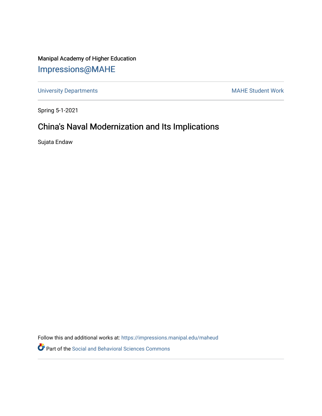### Manipal Academy of Higher Education [Impressions@MAHE](https://impressions.manipal.edu/)

[University Departments](https://impressions.manipal.edu/maheud) **MAHE Student Work** 

Spring 5-1-2021

## China's Naval Modernization and Its Implications

Sujata Endaw

Follow this and additional works at: [https://impressions.manipal.edu/maheud](https://impressions.manipal.edu/maheud?utm_source=impressions.manipal.edu%2Fmaheud%2F53&utm_medium=PDF&utm_campaign=PDFCoverPages)

Part of the [Social and Behavioral Sciences Commons](http://network.bepress.com/hgg/discipline/316?utm_source=impressions.manipal.edu%2Fmaheud%2F53&utm_medium=PDF&utm_campaign=PDFCoverPages)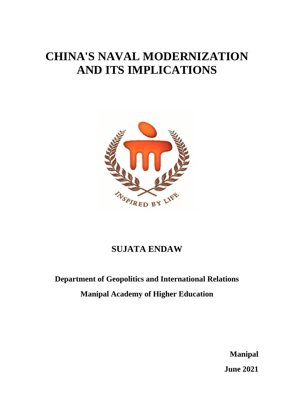# **CHINA'S NAVAL MODERNIZATION AND ITS IMPLICATIONS**



## **SUJATA ENDAW**

## **Department of Geopolitics and International Relations Manipal Academy of Higher Education**

**Manipal June 2021**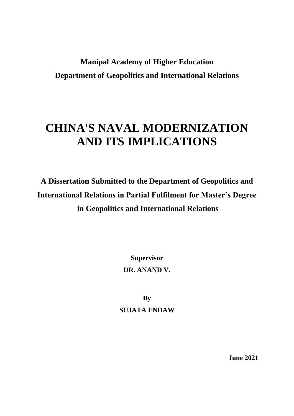## **Manipal Academy of Higher Education Department of Geopolitics and International Relations**

# **CHINA'S NAVAL MODERNIZATION AND ITS IMPLICATIONS**

**A Dissertation Submitted to the Department of Geopolitics and International Relations in Partial Fulfilment for Master's Degree in Geopolitics and International Relations**

> **Supervisor DR. ANAND V.**

**By SUJATA ENDAW** 

**June 2021**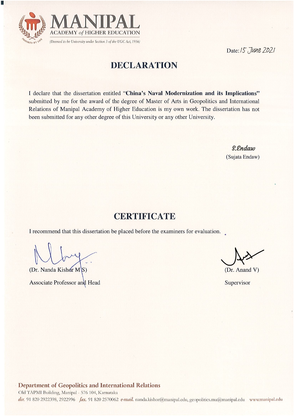

F

Date: 15 June 2021

## **DECLARATION**

I declare that the dissertation entitled "China's Naval Modernization and its Implications" submitted by me for the award of the degree of Master of Arts in Geopolitics and International Relations of Manipal Academy of Higher Education is my own work. The dissertation has not been submitted for any other degree of this University or any other University.

> *S.Endaw* (Sujata Endaw)

### **CERTIFICATE**

I recommend that this dissertation be placed before the examiners for evaluation.

(Dr. Nanda Kishor M\S)

Associate Professor and Head

(Dr. Anand V)

Supervisor

#### Department of Geopolitics and International Relations

Old TAPMI Building, Manipal - 576 104, Karnataka dir. 91 820 2922398, 2922996 fax. 91 820 2570062 e-mail. nanda.kishor@manipal.edu, geopolitics.mu@manipal.edu www.manipal.edu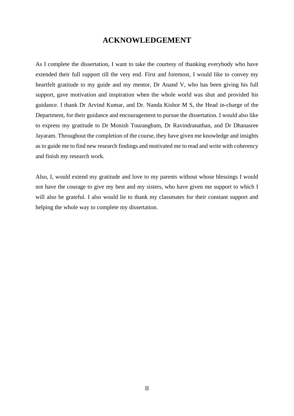#### **ACKNOWLEDGEMENT**

As I complete the dissertation, I want to take the courtesy of thanking everybody who have extended their full support till the very end. First and foremost, I would like to convey my heartfelt gratitude to my guide and my mentor, Dr Anand V, who has been giving his full support, gave motivation and inspiration when the whole world was shut and provided his guidance. I thank Dr Arvind Kumar, and Dr. Nanda Kishor M S, the Head in-charge of the Department, for their guidance and encouragement to pursue the dissertation. I would also like to express my gratitude to Dr Monish Tourangbam, Dr Ravindranathan, and Dr Dhanasree Jayaram. Throughout the completion of the course, they have given me knowledge and insights as to guide me to find new research findings and motivated me to read and write with coherency and finish my research work.

Also, I, would extend my gratitude and love to my parents without whose blessings I would not have the courage to give my best and my sisters, who have given me support to which I will also be grateful. I also would lie to thank my classmates for their constant support and helping the whole way to complete my dissertation.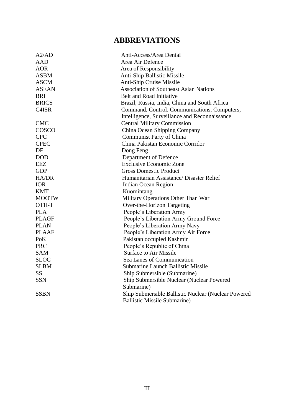## **ABBREVIATIONS**

| A2/AD        | Anti-Access/Area Denial                             |
|--------------|-----------------------------------------------------|
| <b>AAD</b>   | Area Air Defence                                    |
| <b>AOR</b>   | Area of Responsibility                              |
| <b>ASBM</b>  | Anti-Ship Ballistic Missile                         |
| <b>ASCM</b>  | Anti-Ship Cruise Missile                            |
| <b>ASEAN</b> | <b>Association of Southeast Asian Nations</b>       |
| <b>BRI</b>   | <b>Belt and Road Initiative</b>                     |
| <b>BRICS</b> | Brazil, Russia, India, China and South Africa       |
| C4ISR        | Command, Control, Communications, Computers,        |
|              | Intelligence, Surveillance and Reconnaissance       |
| <b>CMC</b>   | <b>Central Military Commission</b>                  |
| COSCO        | China Ocean Shipping Company                        |
| <b>CPC</b>   | Communist Party of China                            |
| <b>CPEC</b>  | China Pakistan Economic Corridor                    |
| DF           | Dong Feng                                           |
| <b>DOD</b>   | Department of Defence                               |
| <b>EEZ</b>   | <b>Exclusive Economic Zone</b>                      |
| <b>GDP</b>   | <b>Gross Domestic Product</b>                       |
| HA/DR        | Humanitarian Assistance/ Disaster Relief            |
| <b>IOR</b>   | <b>Indian Ocean Region</b>                          |
| <b>KMT</b>   | Kuomintang                                          |
| <b>MOOTW</b> | Military Operations Other Than War                  |
| OTH-T        | Over-the-Horizon Targeting                          |
| <b>PLA</b>   | People's Liberation Army                            |
| <b>PLAGF</b> | People's Liberation Army Ground Force               |
| <b>PLAN</b>  | People's Liberation Army Navy                       |
| <b>PLAAF</b> | People's Liberation Army Air Force                  |
| PoK          | Pakistan occupied Kashmir                           |
| <b>PRC</b>   | People's Republic of China                          |
| <b>SAM</b>   | <b>Surface to Air Missile</b>                       |
| <b>SLOC</b>  | Sea Lanes of Communication                          |
| <b>SLBM</b>  | <b>Submarine Launch Ballistic Missile</b>           |
| <b>SS</b>    | Ship Submersible (Submarine)                        |
| <b>SSN</b>   | Ship Submersible Nuclear (Nuclear Powered           |
|              | Submarine)                                          |
| <b>SSBN</b>  | Ship Submersible Ballistic Nuclear (Nuclear Powered |
|              | <b>Ballistic Missile Submarine)</b>                 |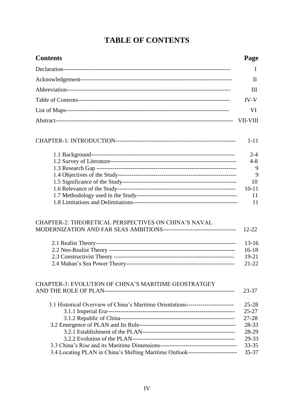## **TABLE OF CONTENTS**

| <b>Contents</b>                                                                  | Page           |
|----------------------------------------------------------------------------------|----------------|
|                                                                                  | Ι              |
|                                                                                  | $\rm II$       |
|                                                                                  | III            |
|                                                                                  | IV-V           |
|                                                                                  | VI             |
|                                                                                  | VII-VIII       |
|                                                                                  | $1 - 11$       |
|                                                                                  | $2 - 4$        |
|                                                                                  | $4 - 8$        |
|                                                                                  | 9<br>9         |
|                                                                                  | 10             |
|                                                                                  | $10 - 11$      |
|                                                                                  | 11             |
|                                                                                  | 11             |
| CHAPTER-2: THEORETICAL PERSPECTIVES ON CHINA'S NAVAL                             | $12 - 22$      |
|                                                                                  | $13 - 16$      |
|                                                                                  | $16-18$        |
|                                                                                  | 19-21          |
|                                                                                  | $21 - 22$      |
| CHAPTER-3: EVOLUTION OF CHINA'S MARITIME GEOSTRATGEY                             | 23-37          |
| 3.1 Historical Overview of China's Maritime Orientations------------------------ | $25 - 28$      |
|                                                                                  | $25 - 27$      |
|                                                                                  | 27-28          |
|                                                                                  | 28-33          |
|                                                                                  | 28-29          |
|                                                                                  | 29-33<br>33-35 |
| 3.4 Locating PLAN in China's Shifting Maritime Outlook-------------------------  | 35-37          |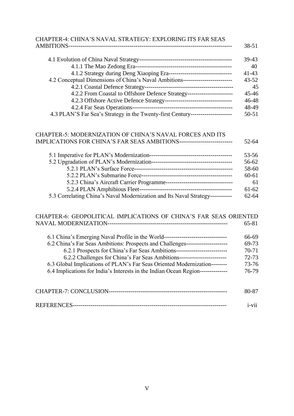| CHAPTER-4: CHINA'S NAVAL STRATEGY: EXPLORING ITS FAR SEAS                        |           |
|----------------------------------------------------------------------------------|-----------|
|                                                                                  | 38-51     |
|                                                                                  | 39-43     |
|                                                                                  | 40        |
| 4.1.2 Strategy during Deng Xiaoping Era----------------------------------        | $41 - 43$ |
| 4.2 Conceptual Dimensions of China's Naval Ambitions---------------------------  | $43 - 52$ |
|                                                                                  | 45        |
| 4.2.2 From Coastal to Offshore Defence Strategy------------------------          | $45 - 46$ |
|                                                                                  | 46-48     |
|                                                                                  | 48-49     |
| 4.3 PLAN'S Far Sea's Strategy in the Twenty-first Century----------------------- | $50 - 51$ |

#### CHAPTER-5: MODERNIZATION OF CHINA'S NAVAL FORCES AND ITS IMPLICATIONS FOR CHINA'S FAR SEAS AMBITIONS--------------------------- 52-64

|                                                                               | 53-56     |
|-------------------------------------------------------------------------------|-----------|
|                                                                               | 56-62     |
|                                                                               | 58-60     |
|                                                                               | $60 - 61$ |
|                                                                               | 61        |
|                                                                               | $61 - 62$ |
| 5.3 Correlating China's Naval Modernization and Its Naval Strategy----------- | $62 - 64$ |

#### CHAPTER-6: GEOPOLITICAL IMPLICATIONS OF CHINA'S FAR SEAS ORIENTED NAVAL MODERNIZATION------------------------------------------------------------- 65-81

| 6.1 China's Emerging Naval Profile in the World---------------------------------- | 66-69 |
|-----------------------------------------------------------------------------------|-------|
| 6.2 China's Far Seas Ambitions: Prospects and Challenges-                         | 69-73 |
| 6.2.1 Prospects for China's Far Seas Ambitions---------------------------         | 70-71 |
| 6.2.2 Challenges for China's Far Seas Ambitions--                                 | 72-73 |
| 6.3 Global Implications of PLAN's Far Seas Oriented Modernization--------         | 73-76 |
| 6.4 Implications for India's Interests in the Indian Ocean Region---------------  | 76-79 |
| <b>CHAPTER-7: CONCLUSION-</b>                                                     |       |

| <b>REFERENCES</b> |  |
|-------------------|--|
|                   |  |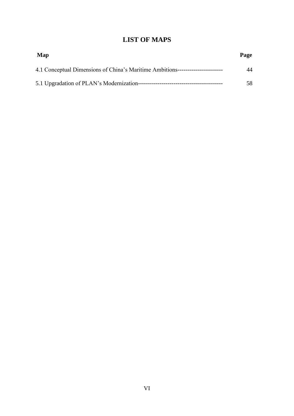### **LIST OF MAPS**

| Map                                                                              | Page |
|----------------------------------------------------------------------------------|------|
| 4.1 Conceptual Dimensions of China's Maritime Ambitions------------------------- | 44   |
|                                                                                  | 58.  |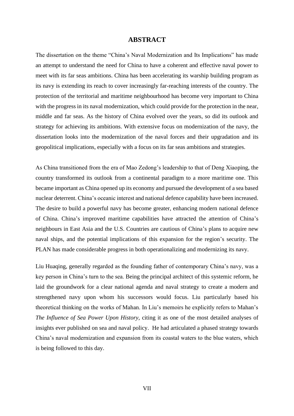#### **ABSTRACT**

The dissertation on the theme "China's Naval Modernization and Its Implications" has made an attempt to understand the need for China to have a coherent and effective naval power to meet with its far seas ambitions. China has been accelerating its warship building program as its navy is extending its reach to cover increasingly far-reaching interests of the country. The protection of the territorial and maritime neighbourhood has become very important to China with the progress in its naval modernization, which could provide for the protection in the near, middle and far seas. As the history of China evolved over the years, so did its outlook and strategy for achieving its ambitions. With extensive focus on modernization of the navy, the dissertation looks into the modernization of the naval forces and their upgradation and its geopolitical implications, especially with a focus on its far seas ambitions and strategies.

As China transitioned from the era of Mao Zedong's leadership to that of Deng Xiaoping, the country transformed its outlook from a continental paradigm to a more maritime one. This became important as China opened up its economy and pursued the development of a sea based nuclear deterrent. China's oceanic interest and national defence capability have been increased. The desire to build a powerful navy has become greater, enhancing modern national defence of China. China's improved maritime capabilities have attracted the attention of China's neighbours in East Asia and the U.S. Countries are cautious of China's plans to acquire new naval ships, and the potential implications of this expansion for the region's security. The PLAN has made considerable progress in both operationalizing and modernizing its navy.

Liu Huaqing, generally regarded as the founding father of contemporary China's navy, was a key person in China's turn to the sea. Being the principal architect of this systemic reform, he laid the groundwork for a clear national agenda and naval strategy to create a modern and strengthened navy upon whom his successors would focus. Liu particularly based his theoretical thinking on the works of Mahan. In Liu's memoirs he explicitly refers to Mahan's *The Influence of Sea Power Upon History*, citing it as one of the most detailed analyses of insights ever published on sea and naval policy. He had articulated a phased strategy towards China's naval modernization and expansion from its coastal waters to the blue waters, which is being followed to this day.